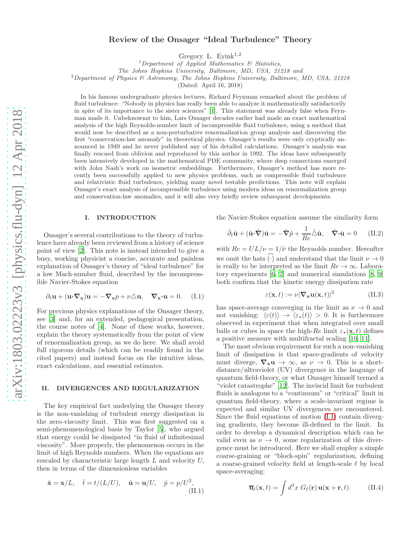# Review of the Onsager "Ideal Turbulence" Theory

Gregory L. Eyink<sup>1,2</sup>

<sup>1</sup>Department of Applied Mathematics  $\mathcal{B}$  Statistics,

The Johns Hopkins University, Baltimore, MD, USA, 21218 and

<sup>2</sup>Department of Physics & Astronomy, The Johns Hopkins University, Baltimore, MD, USA, 21218

(Dated: April 16, 2018)

In his famous undergraduate physics lectures, Richard Feynman remarked about the problem of fluid turbulence: "Nobody in physics has really been able to analyze it mathematically satisfactorily in spite of its importance to the sister sciences" [\[1\]](#page-5-0). This statement was already false when Feynman made it. Unbeknownst to him, Lars Onsager decades earlier had made an exact mathematical analysis of the high Reynolds-number limit of incompressible fluid turbulence, using a method that would now be described as a non-perturbative renormalization group analysis and discovering the first "conservation-law anomaly" in theoretical physics. Onsager's results were only cryptically announced in 1949 and he never published any of his detailed calculations. Onsager's analysis was finally rescued from oblivion and reproduced by this author in 1992. The ideas have subsequently been intensively developed in the mathematical PDE community, where deep connections emerged with John Nash's work on isometric embeddings. Furthermore, Onsager's method has more recently been successfully applied to new physics problems, such as compressible fluid turbulence and relativistic fluid turbulence, yielding many novel testable predictions. This note will explain Onsager's exact analysis of incompressible turbulence using modern ideas on renormalization group and conservation-law anomalies, and it will also very briefly review subsequent developments.

#### I. INTRODUCTION

Onsager's several contributions to the theory of turbulence have already been reviewed from a history of science point of view [\[2\]](#page-5-1). This note is instead intended to give a busy, working physicist a concise, accurate and painless explanation of Onsager's theory of "ideal turbulence" for a low Mach-number fluid, described by the incompressible Navier-Stokes equation

<span id="page-0-0"></span>
$$
\partial_t \mathbf{u} + (\mathbf{u} \cdot \nabla_{\mathbf{x}}) \mathbf{u} = -\nabla_{\mathbf{x}} p + \nu \triangle \mathbf{u}, \quad \nabla_{\mathbf{x}} \cdot \mathbf{u} = 0. \quad (I.1)
$$

For previous physics explanations of the Onsager theory, see [\[3\]](#page-5-2) and, for an extended, pedagogical presentation, the course notes of [\[4\]](#page-5-3). None of these works, however, explain the theory systematically from the point of view of renormalization group, as we do here. We shall avoid full rigorous details (which can be readily found in the cited papers) and instead focus on the intuitive ideas, exact calculations, and essential estimates.

#### II. DIVERGENCES AND REGULARIZATION

The key empirical fact underlying the Onsager theory is the non-vanishing of turbulent energy dissipation in the zero-viscosity limit. This was first suggested on a semi-phenomenological basis by Taylor [\[5\]](#page-5-4), who argued that energy could be dissipated "in fluid of infinitesimal viscosity". More properly, the phenomenon occurs in the limit of high Reynolds numbers. When the equations are rescaled by characteristic large length L and velocity U, then in terms of the dimensionless variables

$$
\hat{\mathbf{x}} = \mathbf{x}/L, \quad \hat{t} = t/(L/U), \quad \hat{\mathbf{u}} = \mathbf{u}/U, \quad \hat{p} = p/U^2,
$$
\n(II.1)

the Navier-Stokes equation assume the similarity form

$$
\hat{\partial}_t \hat{\mathbf{u}} + (\hat{\mathbf{u}} \cdot \hat{\nabla}) \hat{\mathbf{u}} = -\hat{\nabla} \hat{p} + \frac{1}{Re} \hat{\Delta} \hat{\mathbf{u}}, \quad \hat{\nabla} \cdot \hat{\mathbf{u}} = 0 \quad \text{(II.2)}
$$

with  $Re = UL/\nu = 1/\hat{\nu}$  the Reynolds number. Hereafter we omit the hats  $\widetilde{(\cdot)}$  and understand that the limit  $\nu \to 0$ is really to be interpreted as the limit  $Re \rightarrow \infty$ . Laboratory experiments [\[6,](#page-5-5) [7](#page-5-6)] and numerical simulations [\[8,](#page-5-7) [9](#page-5-8)] both confirm that the kinetic energy dissipation rate

<span id="page-0-2"></span>
$$
\varepsilon(\mathbf{x},t) := \nu |\nabla_{\mathbf{x}} \mathbf{u}(\mathbf{x},t)|^2 \tag{II.3}
$$

has space-average converging in the limit as  $\nu \to 0$  and not vanishing:  $\langle \varepsilon(t) \rangle \rightarrow \langle \varepsilon_*(t) \rangle > 0$ . It is furthermore observed in experiment that when integrated over small balls or cubes in space the high-Re limit  $\varepsilon_{\star}(\mathbf{x}, t)$  defines a positive measure with multifractal scaling [\[10,](#page-5-9) [11\]](#page-5-10).

The most obvious requirement for such a non-vanishing limit of dissipation is that space-gradients of velocity must diverge,  $\nabla_x \mathbf{u} \to \infty$ , as  $\nu \to 0$ . This is a shortdistance/ultraviolet (UV) divergence in the language of quantum field-theory, or what Onsager himself termed a "violet catastrophe" [\[12](#page-5-11)]. The inviscid limit for turbulent fluids is analogous to a "continuum" or "critical" limit in quantum field-theory, where a scale-invariant regime is expected and similar UV divergences are encountered. Since the fluid equations of motion [\(I.1\)](#page-0-0) contain diverging gradients, they become ill-defined in the limit. In order to develop a dynamical description which can be valid even as  $\nu \rightarrow 0$ , some regularization of this divergence must be introduced. Here we shall employ a simple coarse-graining or "block-spin" regularization, defining a coarse-grained velocity field at length-scale  $\ell$  by local space-averaging:

<span id="page-0-1"></span>
$$
\overline{\mathbf{u}}_{\ell}(\mathbf{x},t) = \int d^3x \; G_{\ell}(\mathbf{r}) \, \mathbf{u}(\mathbf{x} + \mathbf{r},t). \tag{II.4}
$$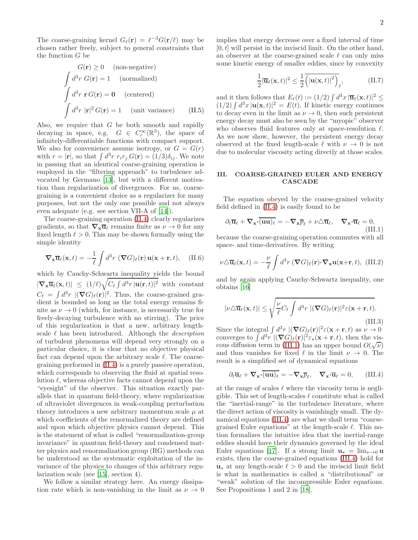The coarse-graining kernel  $G_{\ell}(\mathbf{r}) = \ell^{-3} G(\mathbf{r}/\ell)$  may be chosen rather freely, subject to general constraints that the function G be

$$
G(\mathbf{r}) \ge 0 \quad \text{(non-negative)}
$$
  
\n
$$
\int d^3r \ G(\mathbf{r}) = 1 \quad \text{(normalized)}
$$
  
\n
$$
\int d^3r \ \mathbf{r} \ G(\mathbf{r}) = \mathbf{0} \quad \text{(centered)}
$$
  
\n
$$
\int d^3r \ |\mathbf{r}|^2 \ G(\mathbf{r}) = 1 \quad \text{(unit variance)} \quad \text{(II.5)}
$$

Also, we require that  $G$  be both smooth and rapidly decaying in space, e.g.  $G \in C_c^{\infty}(\mathbb{R}^3)$ , the space of infinitely-differentiable functions with compact support. We also for convenience assume isotropy, or  $G = G(r)$ with  $r = |\mathbf{r}|$ , so that  $\int d^3r \ r_i r_j G(\mathbf{r}) = (1/3)\delta_{ij}$ . We note in passing that an identical coarse-graining operation is employed in the "filtering approach" to turbulence advocated by Germano [\[13\]](#page-5-12), but with a different motivation than regularization of divergences. For us, coarsegraining is a convenient choice as a regularizer for many purposes, but not the only one possible and not always even adequate (e.g. see section VII-A of [\[14\]](#page-5-13)).

The coarse-graining operation [\(II.4\)](#page-0-1) clearly regularizes gradients, so that  $\nabla_{\mathbf{x}}\overline{\mathbf{u}}_{\ell}$  remains finite as  $\nu \to 0$  for any fixed length  $\ell > 0$ . This may be shown formally using the simple identity

<span id="page-1-3"></span>
$$
\nabla_{\mathbf{x}} \overline{\mathbf{u}}_{\ell}(\mathbf{x}, t) = -\frac{1}{\ell} \int d^3 r \, (\nabla G)_{\ell}(\mathbf{r}) \, \mathbf{u}(\mathbf{x} + \mathbf{r}, t), \quad \text{(II.6)}
$$

which by Cauchy-Schwartz inequality yields the bound  $|\nabla_{\mathbf{x}}\overline{\mathbf{u}}_{\ell}(\mathbf{x},t)| \leq (1/\ell)\sqrt{C_{\ell}\int d^3r\,|\mathbf{u}(\mathbf{r},t)|^2}$  with constant  $C_{\ell} = \int d^3r \ |\nabla G)_{\ell}(\mathbf{r})|^2$ . Thus, the coarse-grained gradient is bounded as long as the total energy remains finite as  $\nu \to 0$  (which, for instance, is necessarily true for freely-decaying turbulence with no stirring). The price of this regularization is that a new, arbitrary lengthscale  $\ell$  has been introduced. Although the *description* of turbulent phenomena will depend very strongly on a particular choice, it is clear that no objective physical fact can depend upon the arbitrary scale  $\ell$ . The coarsegraining performed in [\(II.4\)](#page-0-1) is a purely passive operation, which corresponds to observing the fluid at spatial resolution  $\ell$ , whereas objective facts cannot depend upon the "eyesight" of the observer. This situation exactly parallels that in quantum field-theory, where regularization of ultraviolet divergences in weak-coupling perturbation theory introduces a new arbitrary momentum scale  $\mu$  at which coefficients of the renormalized theory are defined and upon which objective physics cannot depend. This is the statement of what is called "renormalization-group invariance" in quantum field-theory and condensed matter physics and renormalization group (RG) methods can be understood as the systematic exploitation of the invariance of the physics to changes of this arbitrary regularization scale (see [\[15\]](#page-5-14), section 4).

We follow a similar strategy here. An energy dissipation rate which is non-vanishing in the limit as  $\nu \rightarrow 0$ 

implies that energy decrease over a fixed interval of time  $[0, t]$  will persist in the inviscid limit. On the other hand, an observer at the coarse-grained scale  $\ell$  can only miss some kinetic energy of smaller eddies, since by convexity

<span id="page-1-2"></span>
$$
\frac{1}{2}|\overline{\mathbf{u}}_{\ell}(\mathbf{x},t)|^2 \le \frac{1}{2} \overline{(|\mathbf{u}(\mathbf{x},t)|^2)}_{\ell}, \qquad (\text{II}.7)
$$

and it then follows that  $E_{\ell}(t) := (1/2) \int d^3x \, |\overline{\mathbf{u}}_{\ell}(\mathbf{x},t)|^2 \leq$  $(1/2) \int d^3x \, |\mathbf{u}(\mathbf{x}, t)|^2 = E(t)$ . If kinetic energy continues to decay even in the limit as  $\nu \to 0$ , then such persistent energy decay must also be seen by the "myopic" observer who observes fluid features only at space-resolution  $\ell$ . As we now show, however, the persistent energy decay observed at the fixed length-scale  $\ell$  with  $\nu \to 0$  is not due to molecular viscosity acting directly at those scales.

## III. COARSE-GRAINED EULER AND ENERGY CASCADE

The equation obeyed by the coarse-grained velocity field defined in [\(II.4\)](#page-0-1) is easily found to be

<span id="page-1-0"></span>
$$
\partial_t \overline{\mathbf{u}}_{\ell} + \nabla_{\mathbf{x}} \cdot \overline{(\mathbf{u}\mathbf{u})_{\ell}} = -\nabla_{\mathbf{x}} \overline{p}_{\ell} + \nu \triangle \overline{\mathbf{u}}_{\ell}, \quad \nabla_{\mathbf{x}} \cdot \overline{\mathbf{u}}_{\ell} = 0,
$$
\n(III.1)

because the coarse-graining operation commutes with all space- and time-derivatives. By writing

$$
\nu \triangle \overline{\mathbf{u}}_{\ell}(\mathbf{x},t) = -\frac{\nu}{\ell} \int d^3 r \left( \nabla G \right)_{\ell}(\mathbf{r}) \cdot \nabla_{\mathbf{x}} \mathbf{u}(\mathbf{x}+\mathbf{r},t), \text{ (III.2)}
$$

and by again applying Cauchy-Schwartz inequality, one obtains [\[16\]](#page-5-15)

<span id="page-1-4"></span>
$$
|\nu \triangle \overline{\mathbf{u}}_{\ell}(\mathbf{x},t)| \leq \sqrt{\frac{\nu}{\ell}C_{\ell} \int d^3 r \; |(\nabla G)_{\ell}(\mathbf{r})|^2 \varepsilon(\mathbf{x}+\mathbf{r},t)}.
$$
\n(III.3)

Since the integral  $\int d^3r \, |(\nabla G)_{\ell}(\mathbf{r})|^2 \varepsilon(\mathbf{x} + \mathbf{r}, t)$  as  $\nu \to 0$ converges to  $\int d^3r \, |(\nabla G)_{\ell}(\mathbf{r})|^2 \varepsilon_{\star}(\mathbf{x}+\mathbf{r},t)$ , then the vis-cous diffusion term in [\(III.1\)](#page-1-0) has an upper bound  $O(\sqrt{\nu})$ and thus vanishes for fixed  $\ell$  in the limit  $\nu \to 0$ . The result is a simplified set of dynamical equations

<span id="page-1-1"></span>
$$
\partial_t \overline{\mathbf{u}}_\ell + \nabla_{\mathbf{x}} \cdot \overline{(\mathbf{u}\mathbf{u})_\ell} = -\nabla_{\mathbf{x}} \overline{p}_\ell, \quad \nabla_{\mathbf{x}} \cdot \overline{\mathbf{u}}_\ell = 0, \quad (\text{III.4})
$$

at the range of scales  $\ell$  where the viscosity term is negligible. This set of length-scales  $\ell$  constitute what is called the "inertial-range" in the turbulence literature, where the direct action of viscosity is vanishingly small. The dynamical equations [\(III.4\)](#page-1-1) are what we shall term "coarsegrained Euler equations" at the length-scale  $\ell$ . This notion formalizes the intuitive idea that the inertial-range eddies should have their dynamics governed by the ideal Euler equations [\[17\]](#page-5-16). If a strong limit  $\mathbf{u}_\star = \lim_{\nu \to 0} \mathbf{u}$ exists, then the coarse-grained equations [\(III.4\)](#page-1-1) hold for  $u<sub>∗</sub>$  at any length-scale  $\ell > 0$  and the inviscid limit field is what in mathematics is called a "distributional" or "weak" solution of the incompressible Euler equations. See Propositions 1 and 2 in [\[18\]](#page-6-0).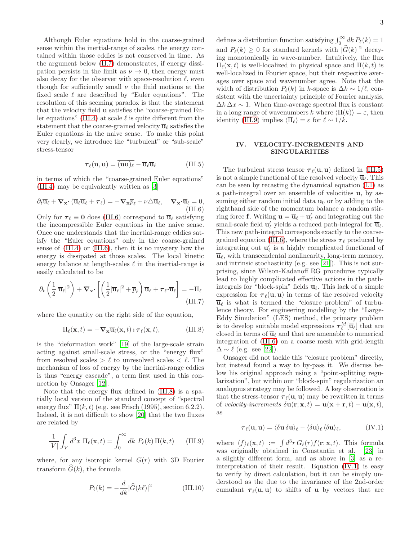Although Euler equations hold in the coarse-grained sense within the inertial-range of scales, the energy contained within those eddies is not conserved in time. As the argument below [\(II.7\)](#page-1-2) demonstrates, if energy dissipation persists in the limit as  $\nu \to 0$ , then energy must also decay for the observer with space-resolution  $\ell$ , even though for sufficiently small  $\nu$  the fluid motions at the fixed scale  $\ell$  are described by "Euler equations". The resolution of this seeming paradox is that the statement that the velocity field u satisfies the "coarse-grained Eu-ler equations" [\(III.4\)](#page-1-1) at scale  $\ell$  is quite different from the statement that the coarse-grained velocity  $\overline{\mathbf{u}}_{\ell}$  satisfies the Euler equations in the naive sense. To make this point very clearly, we introduce the "turbulent" or "sub-scale" stress-tensor

<span id="page-2-3"></span>
$$
\boldsymbol{\tau}_{\ell}(\mathbf{u}, \mathbf{u}) = \overline{(\mathbf{u}\mathbf{u})_{\ell}} - \overline{\mathbf{u}}_{\ell} \overline{\mathbf{u}}_{\ell} \tag{III.5}
$$

in terms of which the "coarse-grained Euler equations" [\(III.4\)](#page-1-1) may be equivalently written as [\[3\]](#page-5-2)

<span id="page-2-0"></span>
$$
\partial_t \overline{\mathbf{u}}_\ell + \nabla_{\mathbf{x}} \cdot (\overline{\mathbf{u}}_\ell \overline{\mathbf{u}}_\ell + \boldsymbol{\tau}_\ell) = -\nabla_{\mathbf{x}} \overline{p}_\ell + \nu \triangle \overline{\mathbf{u}}_\ell, \quad \nabla_{\mathbf{x}} \cdot \overline{\mathbf{u}}_\ell = 0,
$$
\n(III.6)

Only for  $\tau_{\ell} \equiv 0$  does [\(III.6\)](#page-2-0) correspond to  $\overline{u}_{\ell}$  satisfying the incompressible Euler equations in the naive sense. Once one understands that the inertial-range eddies satisfy the "Euler equations" only in the coarse-grained sense of [\(III.4\)](#page-1-1) or [\(III.6\)](#page-2-0), then it is no mystery how the energy is dissipated at those scales. The local kinetic energy balance at length-scales  $\ell$  in the inertial-range is easily calculated to be

<span id="page-2-5"></span>
$$
\partial_t \left( \frac{1}{2} |\overline{\mathbf{u}}_{\ell}|^2 \right) + \nabla_{\mathbf{x}} \cdot \left[ \left( \frac{1}{2} |\overline{\mathbf{u}}_{\ell}|^2 + \overline{p}_{\ell} \right) \overline{\mathbf{u}}_{\ell} + \boldsymbol{\tau}_{\ell} \cdot \overline{\mathbf{u}}_{\ell} \right] = -\Pi_{\ell}
$$
\n(III.7)

where the quantity on the right side of the equation,

<span id="page-2-1"></span>
$$
\Pi_{\ell}(\mathbf{x},t) = -\nabla_{\mathbf{x}} \overline{\mathbf{u}}_{\ell}(\mathbf{x},t) : \boldsymbol{\tau}_{\ell}(\mathbf{x},t), \tag{III.8}
$$

is the "deformation work" [\[19\]](#page-6-1) of the large-scale strain acting against small-scale stress, or the "energy flux" from resolved scales  $> \ell$  to unresolved scales  $< \ell$ . The mechanism of loss of energy by the inertial-range eddies is thus "energy cascade", a term first used in this connection by Onsager [\[12](#page-5-11)].

Note that the energy flux defined in [\(III.8\)](#page-2-1) is a spatially local version of the standard concept of "spectral energy flux"  $\Pi(k, t)$  (e.g. see Frisch (1995), section 6.2.2). Indeed, it is not difficult to show [\[20\]](#page-6-2) that the two fluxes are related by

<span id="page-2-2"></span>
$$
\frac{1}{|V|} \int_V d^3x \, \Pi_\ell(\mathbf{x}, t) = \int_0^\infty dk \, P_\ell(k) \, \Pi(k, t) \qquad \text{(III.9)}
$$

where, for any isotropic kernel  $G(r)$  with 3D Fourier transform  $\widehat{G}(k)$ , the formula

$$
P_{\ell}(k) = -\frac{d}{dk} |\hat{G}(k\ell)|^2 \tag{III.10}
$$

defines a distribution function satisfying  $\int_0^\infty dk P_\ell(k) = 1$ and  $P_{\ell}(k) \geq 0$  for standard kernels with  $|\widehat{G}(k)|^2$  decaying monotonically in wave-number. Intuitively, the flux  $\Pi_{\ell}(\mathbf{x},t)$  is well-localized in physical space and  $\Pi(k,t)$  is well-localized in Fourier space, but their respective averages over space and wavenumber agree. Note that the width of distribution  $P_{\ell}(k)$  in k-space is  $\Delta k \sim 1/\ell$ , consistent with the uncertainty principle of Fourier analysis,  $\Delta k \Delta x \sim 1$ . When time-average spectral flux is constant in a long range of wavenumbers k where  $\langle \Pi(k)\rangle = \varepsilon$ , then identity [\(III.9\)](#page-2-2) implies  $\langle \Pi_{\ell} \rangle = \varepsilon$  for  $\ell \sim 1/k$ .

### IV. VELOCITY-INCREMENTS AND SINGULARITIES

The turbulent stress tensor  $\tau_{\ell}(\mathbf{u}, \mathbf{u})$  defined in [\(III.5\)](#page-2-3) is not a simple functional of the resolved velocity  $\overline{\mathbf{u}}_{\ell}$ . This can be seen by recasting the dynamical equation [\(I.1\)](#page-0-0) as a path-integral over an ensemble of velocities u, by assuming either random initial data  $\mathbf{u}_0$  or by adding to the righthand side of the momentum balance a random stirring force **f**. Writing  $\mathbf{u} = \overline{\mathbf{u}}_{\ell} + \mathbf{u}'_{\ell}$  and integrating out the small-scale field  $\mathbf{u}'_\ell$  yields a reduced path-integral for  $\overline{\mathbf{u}}_\ell$ . This new path-integral corresponds exactly to the coarse-grained equation [\(III.6\)](#page-2-0), where the stress  $\tau_{\ell}$  produced by integrating out  $\mathbf{u}'_{\ell}$  is a highly complicated functional of  $\overline{\mathbf{u}}_{\ell}$ , with transcendental nonlinearity, long-term memory, and intrinsic stochasticity (e.g. see [\[21\]](#page-6-3)). This is not surprising, since Wilson-Kadanoff RG procedures typically lead to highly complicated effective actions in the pathintegrals for "block-spin" fields  $\overline{\mathbf{u}}_{\ell}$ . This lack of a simple expression for  $\tau_{\ell}(\mathbf{u}, \mathbf{u})$  in terms of the resolved velocity  $\overline{\mathbf{u}}_{\ell}$  is what is termed the "closure problem" of turbulence theory. For engineering modelling by the "Large-Eddy Simulation" (LES) method, the primary problem is to develop suitable model expressions  $\boldsymbol{\tau}_{\ell}^M[\overline{\mathbf{u}}_\ell]$  that are closed in terms of  $\overline{\mathbf{u}}_{\ell}$  and that are amenable to numerical integration of [\(III.6\)](#page-2-0) on a coarse mesh with grid-length  $\Delta \sim \ell$  (e.g. see [\[22](#page-6-4)]).

Onsager did not tackle this "closure problem" directly, but instead found a way to by-pass it. We discuss below his original approach using a "point-splitting regularization", but within our "block-spin" regularization an analogous strategy may be followed. A key observation is that the stress-tensor  $\tau_{\ell}(\mathbf{u}, \mathbf{u})$  may be rewritten in terms of velocity-increments  $\delta \mathbf{u}(\mathbf{r}; \mathbf{x}, t) = \mathbf{u}(\mathbf{x} + \mathbf{r}, t) - \mathbf{u}(\mathbf{x}, t),$ as

<span id="page-2-4"></span>
$$
\boldsymbol{\tau}_{\ell}(\mathbf{u},\mathbf{u}) = \langle \delta \mathbf{u} \, \delta \mathbf{u} \rangle_{\ell} - \langle \delta \mathbf{u} \rangle_{\ell} \, \langle \delta \mathbf{u} \rangle_{\ell}, \tag{IV.1}
$$

where  $\langle f \rangle_{\ell}(\mathbf{x}, t) := \int d^3r \, G_{\ell}(r) f(\mathbf{r}; \mathbf{x}, t)$ . This formula was originally obtained in Constantin et al. [\[23](#page-6-5)] in a slightly different form, and as above in [\[3\]](#page-5-2) as a reinterpretation of their result. Equation [\(IV.1\)](#page-2-4) is easy to verify by direct calculation, but it can be simply understood as the due to the invariance of the 2nd-order cumulant  $\tau_{\ell}(\mathbf{u}, \mathbf{u})$  to shifts of **u** by vectors that are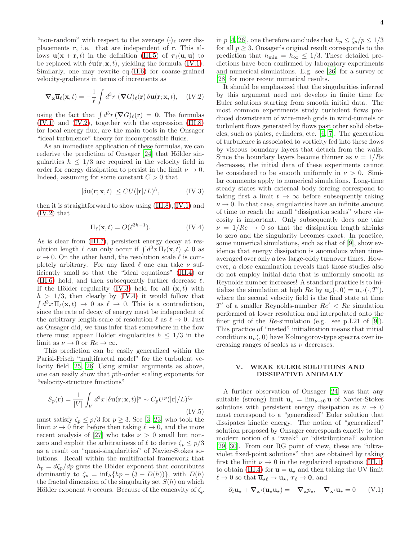"non-random" with respect to the average  $\langle \cdot \rangle_{\ell}$  over displacements r, i.e. that are independent of r. This allows  $\mathbf{u}(\mathbf{x} + \mathbf{r}, t)$  in the definition [\(III.5\)](#page-2-3) of  $\boldsymbol{\tau}_{\ell}(\mathbf{u}, \mathbf{u})$  to be replaced with  $\delta \mathbf{u}(\mathbf{r}; \mathbf{x}, t)$ , yielding the formula [\(IV.1\)](#page-2-4). Similarly, one may rewrite eq.[\(II.6\)](#page-1-3) for coarse-grained velocity-gradients in terms of increments as

<span id="page-3-0"></span>
$$
\nabla_{\mathbf{x}} \overline{\mathbf{u}}_{\ell}(\mathbf{x}, t) = -\frac{1}{\ell} \int d^3 r \, (\nabla G)_{\ell}(\mathbf{r}) \, \delta \mathbf{u}(\mathbf{r}; \mathbf{x}, t), \quad (IV.2)
$$

using the fact that  $\int d^3r \, (\nabla G)_\ell(\mathbf{r}) = 0$ . The formulas [\(IV.1\)](#page-2-4) and [\(IV.2\)](#page-3-0), together with the expression [\(III.8\)](#page-2-1) for local energy flux, are the main tools in the Onsager "ideal turbulence" theory for incompressible fluids.

As an immediate application of these formulas, we can rederive the prediction of Onsager [\[24\]](#page-6-6) that Hölder singularities  $h \leq 1/3$  are required in the velocity field in order for energy dissipation to persist in the limit  $\nu \to 0$ . Indeed, assuming for some constant  $C > 0$  that

<span id="page-3-1"></span>
$$
|\delta \mathbf{u}(\mathbf{r}; \mathbf{x}, t)| \leq C U(|\mathbf{r}|/L)^h, \tag{IV.3}
$$

then it is straightforward to show using [\(III.8\)](#page-2-1),[\(IV.1\)](#page-2-4) and [\(IV.2\)](#page-3-0) that

<span id="page-3-2"></span>
$$
\Pi_{\ell}(\mathbf{x},t) = O(\ell^{3h-1}).\tag{IV.4}
$$

As is clear from [\(III.7\)](#page-2-5), persistent energy decay at resolution length  $\ell$  can only occur if  $\int d^3x \Pi_{\ell}(\mathbf{x}, t) \neq 0$  as  $\nu \rightarrow 0$ . On the other hand, the resolution scale  $\ell$  is completely arbitrary. For any fixed  $\ell$  one can take  $\nu$  sufficiently small so that the "ideal equations" [\(III.4\)](#page-1-1) or [\(III.6\)](#page-2-0) hold, and then subsequently further decrease  $\ell$ . If the Hölder regularity [\(IV.3\)](#page-3-1) held for all  $(x, t)$  with  $h > 1/3$ , then clearly by [\(IV.4\)](#page-3-2) it would follow that  $\int d^3x \, \Pi_{\ell}(\mathbf{x}, t) \rightarrow 0$  as  $\ell \rightarrow 0$ . This is a contradiction, since the rate of decay of energy must be independent of the arbitrary length-scale of resolution  $\ell$  as  $\ell \to 0$ . Just as Onsager did, we thus infer that somewhere in the flow there must appear Hölder singularities  $h \leq 1/3$  in the limit as  $\nu \to 0$  or  $Re \to \infty$ .

This prediction can be easily generalized within the Parisi-Frisch "multifractal model" for the turbulent velocity field [\[25,](#page-6-7) [26](#page-6-8)] Using similar arguments as above, one can easily show that pth-order scaling exponents for "velocity-structure functions"

$$
S_p(\mathbf{r}) = \frac{1}{|V|} \int_V d^3x \, |\delta \mathbf{u}(\mathbf{r}; \mathbf{x}, t)|^p \sim C_p U^p (|\mathbf{r}|/L)^{\zeta_p}
$$
\n(IV.5)

must satisfy  $\zeta_p \leq p/3$  for  $p \geq 3$ . See [\[3,](#page-5-2) [23\]](#page-6-5) who took the limit  $\nu \to 0$  first before then taking  $\ell \to 0$ , and the more recent analysis of [\[27\]](#page-6-9) who take  $\nu > 0$  small but nonzero and exploit the arbitrariness of  $\ell$  to derive  $\zeta_p \leq p/3$ as a result on "quasi-singularities" of Navier-Stokes solutions. Recall within the multifractal framework that  $h_p = d\zeta_p/dp$  gives the Hölder exponent that contributes dominantly to  $\zeta_p = \inf_h \{hp + (3 - D(h))\}$ , with  $D(h)$ the fractal dimension of the singularity set  $S(h)$  on which Hölder exponent h occurs. Because of the concavity of  $\zeta_p$ 

in p [\[4,](#page-5-3) [26\]](#page-6-8), one therefore concludes that  $h_p \leq \zeta_p/p \leq 1/3$ for all  $p \geq 3$ . Onsager's original result corresponds to the prediction that  $h_{\min} = h_{\infty} \leq 1/3$ . These detailed predictions have been confirmed by laboratory experiments and numerical simulations. E.g. see [\[26](#page-6-8)] for a survey or [\[28\]](#page-6-10) for more recent numerical results.

It should be emphasized that the singularities inferred by this argument need not develop in finite time for Euler solutions starting from smooth initial data. The most common experiments study turbulent flows produced downstream of wire-mesh grids in wind-tunnels or turbulent flows generated by flows past other solid obstacles, such as plates, cylinders, etc. [\[6,](#page-5-5) [7\]](#page-5-6). The generation of turbulence is associated to vorticity fed into these flows by viscous boundary layers that detach from the walls. Since the boundary layers become thinner as  $\nu = 1/Re$ decreases, the initial data of these experiments cannot be considered to be smooth uniformly in  $\nu > 0$ . Similar comments apply to numerical simulations. Long-time steady states with external body forcing correspond to taking first a limit  $t \to \infty$  before subsequently taking  $\nu \rightarrow 0$ . In that case, singularities have an infinite amount of time to reach the small "dissipation scales" where viscosity is important. Only subsequently does one take  $\nu = 1/Re \rightarrow 0$  so that the dissipation length shrinks to zero and the singularity becomes exact. In practice, some numerical simulations, such as that of [\[9](#page-5-8)], show evidence that energy dissipation is anomalous when timeaveraged over only a few large-eddy turnover times. However, a close examination reveals that those studies also do not employ initial data that is uniformly smooth as Reynolds number increases! A standard practice is to initialize the simulation at high  $Re$  by  $\mathbf{u}_{\nu}(\cdot, 0) = \mathbf{u}_{\nu'}(\cdot, T'),$ where the second velocity field is the final state at time  $T'$  of a smaller Reynolds-number  $Re' < Re$  simulation performed at lower resolution and interpolated onto the finer grid of the  $Re$ -simulation (e.g. see p.L21 of [\[9\]](#page-5-8)). This practice of "nested" initialization means that initial conditions  $\mathbf{u}_{\nu}(\cdot,0)$  have Kolmogorov-type spectra over increasing ranges of scales as  $\nu$  decreases.

### V. WEAK EULER SOLUTIONS AND DISSIPATIVE ANOMALY

A further observation of Onsager [\[24](#page-6-6)] was that any suitable (strong) limit  $\mathbf{u}_{\star} = \lim_{\nu \to 0} \mathbf{u}$  of Navier-Stokes solutions with persistent energy dissipation as  $\nu \rightarrow 0$ must correspond to a "generalized" Euler solution that dissipates kinetic energy. The notion of "generalized" solution proposed by Onsager corresponds exactly to the modern notion of a "weak" or "distributional" solution [\[29,](#page-6-11) [30\]](#page-6-12). From our RG point of view, these are "ultraviolet fixed-point solutions" that are obtained by taking first the limit  $\nu \rightarrow 0$  in the regularized equations [\(III.1\)](#page-1-0) to obtain [\(III.4\)](#page-1-1) for  $\mathbf{u} = \mathbf{u}_*$  and then taking the UV limit  $\ell \to 0$  so that  $\overline{\mathbf{u}}_{\star \ell} \to \mathbf{u}_{\star}, \tau_{\ell} \to \mathbf{0}$ , and

$$
\partial_t \mathbf{u}_\star + \nabla_\mathbf{x} \cdot (\mathbf{u}_\star \mathbf{u}_\star) = -\nabla_\mathbf{x} p_\star, \quad \nabla_\mathbf{x} \cdot \mathbf{u}_\star = 0 \qquad (\text{V}.1)
$$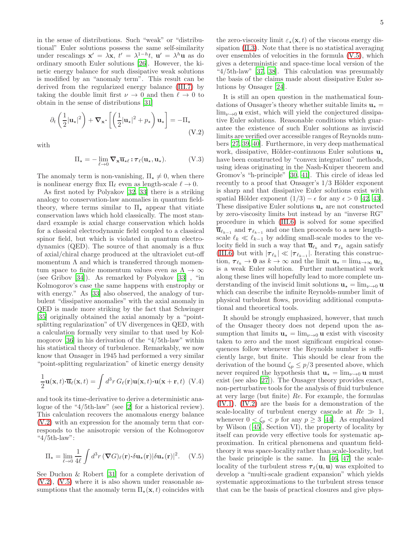in the sense of distributions. Such "weak" or "distributional" Euler solutions possess the same self-similarity under rescalings  $\mathbf{x}' = \lambda \mathbf{x}$ ,  $t' = \lambda^{1-h}t$ ,  $\mathbf{u}' = \lambda^h \mathbf{u}$  as do ordinary smooth Euler solutions [\[26\]](#page-6-8). However, the kinetic energy balance for such dissipative weak solutions is modified by an "anomaly term". This result can be derived from the regularized energy balance [\(III.7\)](#page-2-5) by taking the double limit first  $\nu \to 0$  and then  $\ell \to 0$  to obtain in the sense of distributions [\[31\]](#page-6-13)

<span id="page-4-0"></span>
$$
\partial_t \left( \frac{1}{2} |\mathbf{u}_\star|^2 \right) + \nabla_\mathbf{x} \cdot \left[ \left( \frac{1}{2} |\mathbf{u}_\star|^2 + p_\star \right) \mathbf{u}_\star \right] = -\Pi_\star \tag{V.2}
$$

with

$$
\Pi_{\star} = -\lim_{\ell \to 0} \nabla_{\mathbf{x}} \overline{\mathbf{u}}_{\star \ell} : \boldsymbol{\tau}_{\ell}(\mathbf{u}_{\star}, \mathbf{u}_{\star}). \tag{V.3}
$$

The anomaly term is non-vanishing,  $\Pi_{\star} \neq 0$ , when there is nonlinear energy flux  $\Pi_{\ell}$  even as length-scale  $\ell \to 0$ .

As first noted by Polyakov [\[32,](#page-6-14) [33\]](#page-6-15) there is a striking analogy to conservation-law anomalies in quantum fieldtheory, where terms similar to  $\Pi_{\star}$  appear that vitiate conservation laws which hold classically. The most standard example is axial charge conservation which holds for a classical electrodynamic field coupled to a classical spinor field, but which is violated in quantum electrodynamics (QED). The source of that anomaly is a flux of axial/chiral charge produced at the ultraviolet cut-off momentum  $\Lambda$  and which is transferred through momentum space to finite momentum values even as  $\Lambda \to \infty$ (see Gribov [\[34\]](#page-6-16)). As remarked by Polyakov [\[33](#page-6-15)] , "in Kolmogorov's case the same happens with enstrophy or with energy." As [\[33\]](#page-6-15) also observed, the analogy of turbulent "dissipative anomalies" with the axial anomaly in QED is made more striking by the fact that Schwinger [\[35\]](#page-6-17) originally obtained the axial anomaly by a "pointsplitting regularization" of UV divergences in QED, with a calculation formally very similar to that used by Kolmogorov [\[36](#page-6-18)] in his derivation of the "4/5th-law" within his statistical theory of turbulence. Remarkably, we now know that Onsager in 1945 had performed a very similar "point-splitting regularization" of kinetic energy density

$$
\frac{1}{2}\mathbf{u}(\mathbf{x},t)\cdot\overline{\mathbf{u}}_{\ell}(\mathbf{x},t) = \int d^3r \, G_{\ell}(\mathbf{r})\mathbf{u}(\mathbf{x},t)\cdot\mathbf{u}(\mathbf{x}+\mathbf{r},t) \tag{V.4}
$$

and took its time-derivative to derive a deterministic analogue of the "4/5th-law" (see [\[2\]](#page-5-1) for a historical review). This calculation recovers the anomalous energy balance [\(V.2\)](#page-4-0) with an expression for the anomaly term that corresponds to the anisotropic version of the Kolmogorov "4/5th-law":

<span id="page-4-1"></span>
$$
\Pi_{\star} = \lim_{\ell \to 0} \frac{1}{4\ell} \int d^3 r \, (\nabla G)_{\ell}(\mathbf{r}) \cdot \delta \mathbf{u}_{\star}(\mathbf{r}) |\delta \mathbf{u}_{\star}(\mathbf{r})|^2. \tag{V.5}
$$

See Duchon & Robert [\[31\]](#page-6-13) for a complete derivation of  $(V.2)$ ,  $(V.5)$  where it is also shown under reasonable assumptions that the anomaly term  $\Pi_{\star}(\mathbf{x},t)$  coincides with

the zero-viscosity limit  $\varepsilon_{\star}(\mathbf{x}, t)$  of the viscous energy dissipation [\(II.3\)](#page-0-2). Note that there is no statistical averaging over ensembles of velocities in the formula [\(V.5\)](#page-4-1), which gives a deterministic and space-time local version of the "4/5th-law" [\[37,](#page-6-19) [38\]](#page-6-20). This calculation was presumably the basis of the claims made about dissipative Euler solutions by Onsager [\[24](#page-6-6)].

It is still an open question in the mathematical foundations of Onsager's theory whether suitable limits  $\mathbf{u}_{\star} =$  $\lim_{\nu\to 0}$  **u** exist, which will yield the conjectured dissipative Euler solutions. Reasonable conditions which guarantee the existence of such Euler solutions as inviscid limits are verified over accessible ranges of Reynolds numbers [\[27](#page-6-9), [39](#page-6-21), [40](#page-6-22)]. Furthermore, in very deep mathematical work, dissipative, Hölder-continuous Euler solutions  $\mathbf{u}_*$ have been constructed by "convex integration" methods, using ideas originating in the Nash-Kuiper theorem and Gromov's "h-principle" [\[30](#page-6-12), [41\]](#page-6-23). This circle of ideas led recently to a proof that Onsager's  $1/3$  Hölder exponent is sharp and that dissipative Euler solutions exist with spatial Hölder exponent  $(1/3) - \epsilon$  for any  $\epsilon > 0$  [\[42](#page-6-24), [43\]](#page-6-25). These dissipative Euler solutions  $\mathbf{u}_\star$  are not constructed by zero-viscosity limits but instead by an "inverse RG" procedure in which [\(III.6\)](#page-2-0) is solved for some specified  $\overline{\mathbf{u}}_{\ell_{k-1}}$  and  $\tau_{\ell_{k-1}}$  and one then proceeds to a new lengthscale  $\ell_k \ll \ell_{k-1}$  by adding small-scale modes to the velocity field in such a way that  $\overline{\mathbf{u}}_{\ell_k}$  and  $\boldsymbol{\tau}_{\ell_k}$  again satisfy [\(III.6\)](#page-2-0) but with  $|\tau_{\ell_k}| \ll |\tau_{\ell_{k-1}}|$ . Iterating this construction,  $\tau_{\ell_k} \to 0$  as  $k \to \infty$  and the limit  $\mathbf{u}_\star = \lim_{k \to \infty} \mathbf{u}_{\ell_k}$ is a weak Euler solution. Further mathematical work along these lines will hopefully lead to more complete understanding of the inviscid limit solutions  $\mathbf{u}_{\star} = \lim_{\nu \to 0} \mathbf{u}$ which can describe the infinite Reynolds-number limit of physical turbulent flows, providing additional computational and theoretical tools.

It should be strongly emphasized, however, that much of the Onsager theory does not depend upon the assumption that limits  $\mathbf{u}_{\star} = \lim_{\nu \to 0} \mathbf{u}$  exist with viscosity taken to zero and the most significant empirical consequences follow whenever the Reynolds number is sufficiently large, but finite. This should be clear from the derivation of the bound  $\zeta_p \leq p/3$  presented above, which never required the hypothesis that  $\mathbf{u}_{\star} = \lim_{\nu \to 0} \mathbf{u}$  must exist (see also [\[27](#page-6-9)]). The Onsager theory provides exact, non-perturbative tools for the analysis of fluid turbulence at very large (but finite) Re. For example, the formulas [\(IV.1\)](#page-2-4), [\(IV.2\)](#page-3-0) are the basis for a demonstration of the scale-locality of turbulent energy cascade at  $Re \gg 1$ , whenever  $0 < \zeta_p < p$  for any  $p \geq 3$  [\[44\]](#page-6-26). As emphasized by Wilson ([\[45](#page-6-27)], Section VI), the property of locality by itself can provide very effective tools for systematic approximation. In critical phenomena and quantum fieldtheory it was space-locality rather than scale-locality, but the basic principle is the same. In [\[46,](#page-6-28) [47](#page-6-29)] the scalelocality of the turbulent stress  $\tau_{\ell}(\mathbf{u}, \mathbf{u})$  was exploited to develop a "multi-scale gradient expansion" which yields systematic approximations to the turbulent stress tensor that can be the basis of practical closures and give phys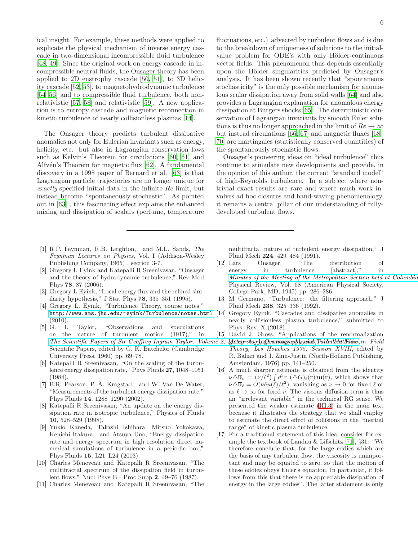ical insight. For example, these methods were applied to explicate the physical mechanism of inverse energy cascade in two-dimensional incompressible fluid turbulence [\[48,](#page-6-30) [49\]](#page-6-31). Since the original work on energy cascade in incompressible neutral fluids, the Onsager theory has been applied to 2D enstrophy cascade [\[50,](#page-6-32) [51\]](#page-6-33), to 3D helicity cascade [\[52](#page-6-34), [53\]](#page-6-35), to magnetohydrodynamic turbulence [\[54](#page-6-36)[–56\]](#page-7-0) and to compressible fluid turbulence, both nonrelativistic [\[57](#page-7-1), [58\]](#page-7-2) and relativistic [\[59](#page-7-3)]. A new application is to entropy cascade and magnetic reconnection in kinetic turbulence of nearly collisionless plasmas [\[14](#page-5-13)].

The Onsager theory predicts turbulent dissipative anomalies not only for Eulerian invariants such as energy, helicity, etc. but also in Lagrangian conservation laws such as Kelvin's Theorem for circulations [\[60](#page-7-4), [61\]](#page-7-5) and Alfv $\acute{e}n$ 's Theorem for magnetic flux [\[62](#page-7-6)]. A fundamental discovery in a 1998 paper of Bernard et al. [\[63\]](#page-7-7) is that Lagrangian particle trajectories are no longer unique for exactly specified initial data in the infinite-Re limit, but instead become "spontaneously stochastic". As pointed out in [\[63\]](#page-7-7) , this fascinating effect explains the enhanced mixing and dissipation of scalars (perfume, temperature

- <span id="page-5-0"></span>[1] R.P. Feynman, R.B. Leighton, and M.L. Sands, The Feynman Lectures on Physics, Vol. I (Addison-Wesley Publishing Company, 1965) , section 3-7.
- <span id="page-5-1"></span>[2] Gregory L Eyink and Katepalli R Sreenivasan, "Onsager and the theory of hydrodynamic turbulence," Rev Mod Phys 78, 87 (2006).
- <span id="page-5-2"></span>[3] Gregory L Eyink, "Local energy flux and the refined similarity hypothesis," J Stat Phys 78, 335–351 (1995).
- <span id="page-5-3"></span>[4] Gregory L. Eyink, "Turbulence Theory, course notes," <http://www.ams.jhu.edu/~eyink/Turbulence/notes.html>  $(2010).$
- <span id="page-5-4"></span>[5] G. I. Taylor, "Observations and speculations on the nature of turbulent motion (1917)," in The Scientific Papers of Sir Geoffrey Ingram Taylor: Volume 2, Meteoprology) igneemeng gapphysical, Turbulent Widsw, in Field Scientific Papers, edited by G. K. Batchelor (Cambridge University Press, 1960) pp. 69–78.
- <span id="page-5-5"></span>[6] Katepalli R Sreenivasan, "On the scaling of the turbulence energy dissipation rate," Phys Fluids 27, 1048–1051 (1984).
- <span id="page-5-6"></span>[7] B.R. Pearson, P.-Å. Krogstad, and W. Van De Water, "Measurements of the turbulent energy dissipation rate," Phys Fluids 14, 1288–1290 (2002).
- <span id="page-5-7"></span>[8] Katepalli R Sreenivasan, "An update on the energy dissipation rate in isotropic turbulence," Physics of Fluids 10, 528–529 (1998).
- <span id="page-5-8"></span>[9] Yukio Kaneda, Takashi Ishihara, Mitsuo Yokokawa, Kenichi Itakura, and Atsuya Uno, "Energy dissipation rate and energy spectrum in high resolution direct numerical simulations of turbulence in a periodic box," Phys Fluids 15, L21–L24 (2003).
- <span id="page-5-9"></span>[10] Charles Meneveau and Katepalli R Sreenivasan, "The multifractal spectrum of the dissipation field in turbulent flows," Nucl Phys B - Proc Supp 2, 49–76 (1987).
- <span id="page-5-10"></span>[11] Charles Meneveau and Katepalli R Sreenivasan, "The

6

fluctuations, etc.) advected by turbulent flows and is due to the breakdown of uniqueness of solutions to the initialvalue problem for ODE's with only Hölder-continuous vector fields. This phenomenon thus depends essentially upon the Hölder singularities predicted by Onsager's analysis. It has been shown recently that "spontaneous stochasticity" is the only possible mechanism for anomalous scalar dissipation away from solid walls [\[64](#page-7-8)] and also provides a Lagrangian explanation for anomalous energy dissipation at Burgers shocks [\[65\]](#page-7-9). The deterministic conservation of Lagrangian invariants by smooth Euler solutions is thus no longer approached in the limit of  $Re \to \infty$ but instead circulations [\[66](#page-7-10), [67\]](#page-7-11) and magnetic fluxes [\[68](#page-7-12)– [70](#page-7-13)] are martingales (statistically conserved quantities) of the spontaneously stochastic flows.

Onsager's pioneering ideas on "ideal turbulence" thus continue to stimulate new developments and provide, in the opinion of this author, the current "standard model" of high-Reynolds turbulence. In a subject where nontrivial exact results are rare and where much work involves ad hoc closures and hand-waving phenomenology, it remains a central pillar of our understanding of fullydeveloped turbulent flows.

multifractal nature of turbulent energy dissipation," J Fluid Mech 224, 429–484 (1991).

- <span id="page-5-11"></span>[12] Lars Onsager, "The distribution of energy in turbulence [abstract]," in Minutes of the Meeting of the Metropolitan Section held at Columbia Physical Review, Vol. 68 (American Physical Society, College Park, MD, 1945) pp. 286–286.
- <span id="page-5-12"></span>[13] M Germano, "Turbulence: the filtering approach," J Fluid Mech 238, 325–336 (1992).
- <span id="page-5-13"></span>[14] Gregory Eyink, "Cascades and dissipative anomalies in nearly collisionless plasma turbulence," submitted to Phys. Rev. X (2018).
- <span id="page-5-14"></span>[15] David J. Gross, "Applications of the renormalization
- Theory, Les Houches 1975, Session XVIII, edited by R. Balian and J. Zinn-Justin (North-Holland Publishing, Amsterdam, 1976) pp. 141–250.
- <span id="page-5-15"></span>[16] A much sharper estimate is obtained from the identity  $\nu\Delta\overline{\mathbf{u}}_{\ell} = (\nu/\ell^2) \int d^3r \; (\Delta G)_{\ell}(\mathbf{r}) \delta\mathbf{u}(\mathbf{r}),$  which shows that  $\nu \Delta \overline{\mathbf{u}}_{\ell} = \hat{O}(\nu \delta u(\ell)/\ell^2)$ , vanishing as  $\nu \to 0$  for fixed  $\ell$  or as  $\ell \to \infty$  for fixed  $\nu$ . The viscous diffusion term is thus an "irrelevant variable" in the technical RG sense. We presented the weaker estimate [\(III.3\)](#page-1-4) in the main text because it illustrates the strategy that we shall employ to estimate the direct effect of collisions in the "inertial range" of kinetic plasma turbulence.
- <span id="page-5-16"></span>[17] For a traditional statement of this idea, consider for example the textbook of Landau & Lifschitz [\[71](#page-7-14)], §31: "We therefore conclude that, for the large eddies which are the basis of any turbulent flow, the viscosity is unimportant and may be equated to zero, so that the motion of these eddies obeys Euler's equation. In particular, it follows from this that there is no appreciable dissipation of energy in the large eddies". The latter statement is only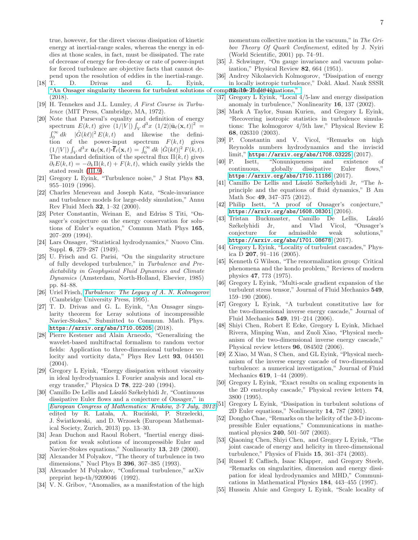true, however, for the direct viscous dissipation of kinetic energy at inertial-range scales, whereas the energy in eddies at those scales, in fact, must be dissipated. The rate of decrease of energy for free-decay or rate of power-input for forced turbulence are objective facts that cannot depend upon the resolution of eddies in the inertial-range.

- <span id="page-6-0"></span>[18] T. D. Drivas and G. L. Eyink, ["An Onsager singularity theorem for turbulent solutions of](https://doi.org/10.1007/s00220-017-3078-4) compassible Huld04thations," (2018).
- <span id="page-6-1"></span>[19] H. Tennekes and J.L. Lumley, A First Course in Turbulence (MIT Press, Cambridge, MA, 1972).
- <span id="page-6-2"></span>[20] Note that Parseval's equality and definition of energy spectrum  $E(k, t)$  give  $(1/|V|)\int_V d^3x (1/2)|\bar{\mathbf{u}}_{\ell}(\mathbf{x}, t)|^2 =$  $\int_0^\infty dk \quad |\hat{G}(k\ell)|^2 E(k,t)$  and likewise the definition of the power-input spectrum  $F(k, t)$  gives  $(1/|V|)\int_V d^3x \, \bar{\mathbf{u}}_\ell(\mathbf{x},t)\cdot\overline{\mathbf{f}}_\ell(\mathbf{x},t) = \int_0^\infty dk \, |\hat{G}(k\ell)|^2 F(k,t).$ The standard definition of the spectral flux  $\Pi(k, t)$  gives  $\partial_t E(k, t) = -\partial_k \Pi(k, t) + F(k, t)$ , which easily yields the stated result [\(III.9\)](#page-2-2).
- <span id="page-6-3"></span>[21] Gregory L Eyink, "Turbulence noise," J Stat Phys 83, 955–1019 (1996).
- <span id="page-6-4"></span>[22] Charles Meneveau and Joseph Katz, "Scale-invariance and turbulence models for large-eddy simulation," Annu Rev Fluid Mech 32, 1–32 (2000).
- <span id="page-6-5"></span>[23] Peter Constantin, Weinan E, and Edriss S Titi, "Onsager's conjecture on the energy conservation for solutions of Euler's equation," Commun Math Phys 165, 207–209 (1994).
- <span id="page-6-6"></span>[24] Lars Onsager, "Statistical hydrodynamics," Nuovo Cim. Suppl. 6, 279–287 (1949).
- <span id="page-6-7"></span>[25] U. Frisch and G. Parisi, "On the singularity structure of fully developed turbulence," in Turbulence and Predictability in Geophysical Fluid Dynamics and Climate Dynamics (Amsterdam, North-Holland, Elsevier, 1985) pp. 84–88.
- <span id="page-6-8"></span>[26] Uriel Frisch, [Turbulence: The Legacy of A. N. Kolmogorov](https://books.google.com/books?id=K-Pf7RuYkf0C) (Cambridge University Press, 1995).
- <span id="page-6-9"></span>[27] T. D. Drivas and G. L. Eyink, "An Onsager singularity theorem for Leray solutions of incompressible Navier-Stokes," Submitted to Commun. Math. Phys. <https://arxiv.org/abs/1710.05205> (2018).
- <span id="page-6-10"></span>[28] Pierre Kestener and Alain Arneodo, "Generalizing the wavelet-based multifractal formalism to random vector fields: Application to three-dimensional turbulence velocity and vorticity data," Phys Rev Lett 93, 044501 (2004).
- <span id="page-6-11"></span>[29] Gregory L Eyink, "Energy dissipation without viscosity in ideal hydrodynamics I. Fourier analysis and local energy transfer," Physica D 78, 222–240 (1994).
- <span id="page-6-12"></span>[30] Camillo De Lellis and László Székelyhidi Jr, "Continuous dissipative Euler flows and a conjecture of Onsager," in European Congress of Mathematics: Kraków, 2-7 July, 2012,<sup>[51]</sup> edited by R. Latała, A. Ruciński, P. Strzelecki, J. Swiatkowski, and D. Wrzosek (European Mathemat- ´ ical Society, Zurich, 2013) pp. 13–30.
- <span id="page-6-13"></span>[31] Jean Duchon and Raoul Robert, "Inertial energy dissipation for weak solutions of incompressible Euler and Navier-Stokes equations," Nonlinearity 13, 249 (2000).
- <span id="page-6-14"></span>[32] Alexander M Polyakov, "The theory of turbulence in two dimensions," Nucl Phys B 396, 367–385 (1993).
- <span id="page-6-15"></span>[33] Alexander M Polyakov, "Conformal turbulence," arXiv preprint hep-th/9209046 (1992).
- <span id="page-6-16"></span>[34] V. N. Gribov, "Anomalies, as a manifestation of the high

momentum collective motion in the vacuum," in The Gribov Theory Of Quark Confinement, edited by J. Nyiri (World Scientific, 2001) pp. 74–91.

- <span id="page-6-17"></span>[35] J. Schwinger, "On gauge invariance and vacuum polarization," Physical Review 82, 664 (1951).
- <span id="page-6-18"></span>[36] Andrey Nikolaevich Kolmogorov, "Dissipation of energy in locally isotropic turbulence," Dokl. Akad. Nauk SSSR
- <span id="page-6-19"></span>[37] Gregory L Eyink, "Local 4/5-law and energy dissipation anomaly in turbulence," Nonlinearity 16, 137 (2002).
- <span id="page-6-20"></span>[38] Mark A Taylor, Susan Kurien, and Gregory L Eyink, "Recovering isotropic statistics in turbulence simulations: The kolmogorov 4/5th law," Physical Review E 68, 026310 (2003).
- <span id="page-6-21"></span>[39] P. Constantin and V. Vicol, "Remarks on high Reynolds numbers hydrodynamics and the inviscid limit," <https://arxiv.org/abs/1708.03225> (2017).
- <span id="page-6-22"></span>[40] P. Isett, "Nonuniqueness and existence of continuous, globally dissipative Euler flows," <https://arxiv.org/abs/1710.11186> (2017).
- <span id="page-6-23"></span>[41] Camillo De Lellis and László Székelyhidi Jr, "The hprinciple and the equations of fluid dynamics," B Am Math Soc 49, 347–375 (2012).
- <span id="page-6-24"></span>[42] Philip Isett, "A proof of Onsager's conjecture," <https://arxiv.org/abs/1608.08301> (2016).
- <span id="page-6-25"></span>[43] Tristan Buckmaster, Camillo De Lellis, László Székelyhidi Jr, and Vlad Vicol, "Onsager's conjecture for admissible weak solutions," <https://arxiv.org/abs/1701.08678> (2017).
- <span id="page-6-26"></span>[44] Gregory L Eyink, "Locality of turbulent cascades," Physica D 207, 91-116 (2005).
- <span id="page-6-27"></span>[45] Kenneth G Wilson, "The renormalization group: Critical phenomena and the kondo problem," Reviews of modern physics 47, 773 (1975).
- <span id="page-6-28"></span>[46] Gregory L Eyink, "Multi-scale gradient expansion of the turbulent stress tensor," Journal of Fluid Mechanics 549, 159–190 (2006).
- <span id="page-6-29"></span>[47] Gregory L Eyink, "A turbulent constitutive law for the two-dimensional inverse energy cascade," Journal of Fluid Mechanics 549, 191–214 (2006).
- <span id="page-6-30"></span>[48] Shiyi Chen, Robert E Ecke, Gregory L Eyink, Michael Rivera, Minping Wan, and Zuoli Xiao, "Physical mechanism of the two-dimensional inverse energy cascade," Physical review letters 96, 084502 (2006).
- <span id="page-6-31"></span>[49] Z Xiao, M Wan, S Chen, and GL Eyink, "Physical mechanism of the inverse energy cascade of two-dimensional turbulence: a numerical investigation," Journal of Fluid Mechanics 619, 1–44 (2009).
- <span id="page-6-32"></span>[50] Gregory L Eyink, "Exact results on scaling exponents in the 2D enstrophy cascade," Physical review letters 74, 3800 (1995).
- <span id="page-6-33"></span>Gregory L Eyink, "Dissipation in turbulent solutions of 2D Euler equations," Nonlinearity 14, 787 (2001).
- <span id="page-6-34"></span>[52] Dongho Chae, "Remarks on the helicity of the 3-D incompressible Euler equations," Communications in mathematical physics 240, 501–507 (2003).
- <span id="page-6-35"></span>[53] Qiaoning Chen, Shiyi Chen, and Gregory L Eyink, "The joint cascade of energy and helicity in three-dimensional turbulence," Physics of Fluids 15, 361–374 (2003).
- <span id="page-6-36"></span>[54] Russel E Caflisch, Isaac Klapper, and Gregory Steele, "Remarks on singularities, dimension and energy dissipation for ideal hydrodynamics and MHD," Communications in Mathematical Physics 184, 443–455 (1997).
- [55] Hussein Aluie and Gregory L Eyink, "Scale locality of